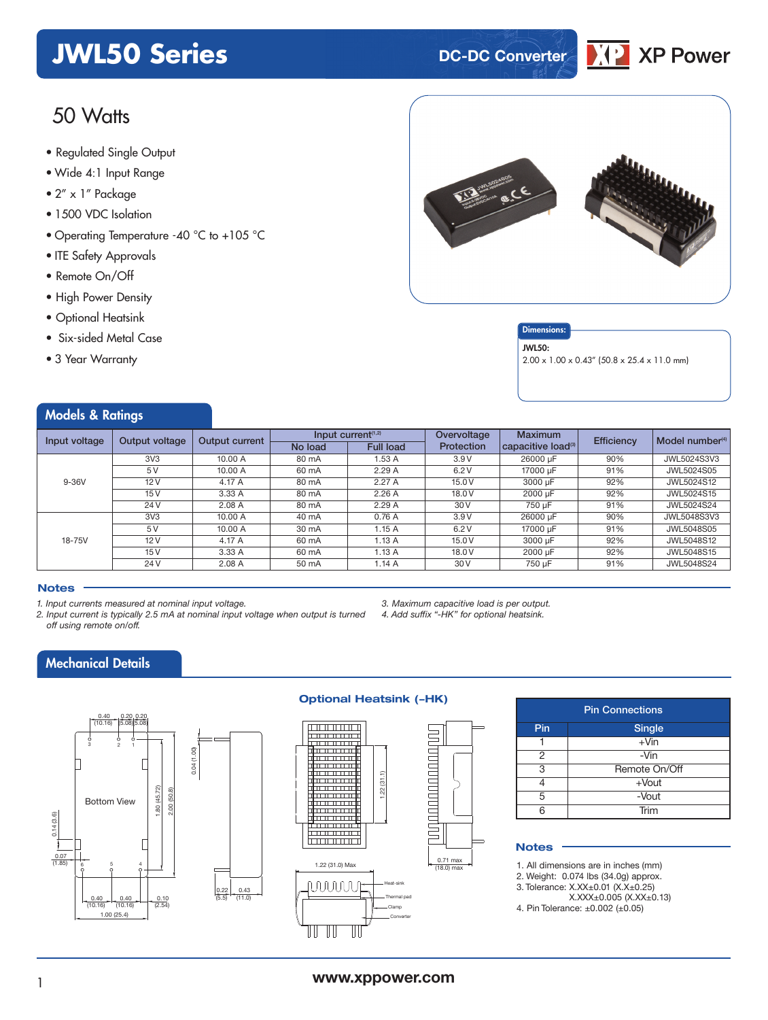# **JWL50 Series DC-DC Converter**

# 50 Watts

- **xxx Series** Regulated Single Output
- Wide 4:1 Input Range
- 2" x 1" Package
- 1500 VDC Isolation
- Operating Temperature -40 °C to +105 °C
- ITE Safety Approvals
- Remote On/Off
- High Power Density
- Optional Heatsink
- Six-sided Metal Case
- 3 Year Warranty

Models & Ratings



#### **Dimensions**

#### JWL50:

2.00 x 1.00 x 0.43" (50.8 x 25.4 x 11.0 mm)

IXPI

**XP Power** 

| <b><i>INCUBIS</i></b> & RUILILYS |                 |                       |         |                       |             |                                            |                   |                            |  |
|----------------------------------|-----------------|-----------------------|---------|-----------------------|-------------|--------------------------------------------|-------------------|----------------------------|--|
| Input voltage                    | Output voltage  | <b>Output current</b> |         | Input current $(1,2)$ | Overvoltage | <b>Maximum</b>                             | <b>Efficiency</b> | Model number <sup>(4</sup> |  |
|                                  |                 |                       | No load | <b>Full load</b>      | Protection  | $ $ capacitive load $^{\text{\tiny (3)}} $ |                   |                            |  |
|                                  | 3V <sub>3</sub> | 10.00 A               | 80 mA   | 1.53 A                | 3.9V        | 26000 uF                                   | 90%               | JWL5024S3V3                |  |
|                                  | 5V              | 10.00 A               | 60 mA   | 2.29A                 | 6.2V        | 17000 uF                                   | 91%               | JWL5024S05                 |  |
| $9-36V$                          | 12V             | 4.17 A                | 80 mA   | 2.27A                 | 15.0 V      | 3000 uF                                    | 92%               | JWL5024S12                 |  |
|                                  | 15V             | 3.33 A                | 80 mA   | 2.26A                 | 18.0 V      | 2000 µF                                    | 92%               | JWL5024S15                 |  |
|                                  | 24 V            | 2.08A                 | 80 mA   | 2.29A                 | 30 V        | 750 µF                                     | 91%               | JWL5024S24                 |  |
|                                  | 3V <sub>3</sub> | 10.00 A               | 40 mA   | 0.76A                 | 3.9V        | 26000 µF                                   | 90%               | JWL5048S3V3                |  |
|                                  | 5V              | 10.00 A               | 30 mA   | 1.15A                 | 6.2V        | 17000 uF                                   | 91%               | JWL5048S05                 |  |
| 18-75V                           | 12V             | 4.17 A                | 60 mA   | 1.13A                 | 15.0 V      | 3000 µF                                    | 92%               | JWL5048S12                 |  |
|                                  | 15V             | 3.33 A                | 60 mA   | 1.13A                 | 18.0 V      | 2000 uF                                    | 92%               | JWL5048S15                 |  |
|                                  | 24 V            | 2.08A                 | 50 mA   | 1.14A                 | 30 V        | 750 µF                                     | 91%               | JWL5048S24                 |  |

#### **Notes**

*1. Input currents measured at nominal input voltage.*

- *2. Input current is typically 2.5 mA at nominal input voltage when output is turned off using remote on/off.*
- *3. Maximum capacitive load is per output.*

*4. Add suffix "-HK" for optional heatsink.*

### Mechanical Details



#### **Optional Heatsink (-HK)**



#### Pin Connections Pin Single  $\overline{1}$  +Vin  $2 \t -Vin$ 3 Remote On/Off  $4 +$ Vout 5 -Vout 6 Trim

#### **Notes**

1. All dimensions are in inches (mm)

- 2. Weight: 0.074 lbs (34.0g) approx.
- 3. Tolerance: X.XX±0.01 (X.X±0.25)

X.XXX±0.005 (X.XX±0.13)

4. Pin Tolerance: ±0.002 (±0.05)

### <sup>1</sup> **www.xppower.com**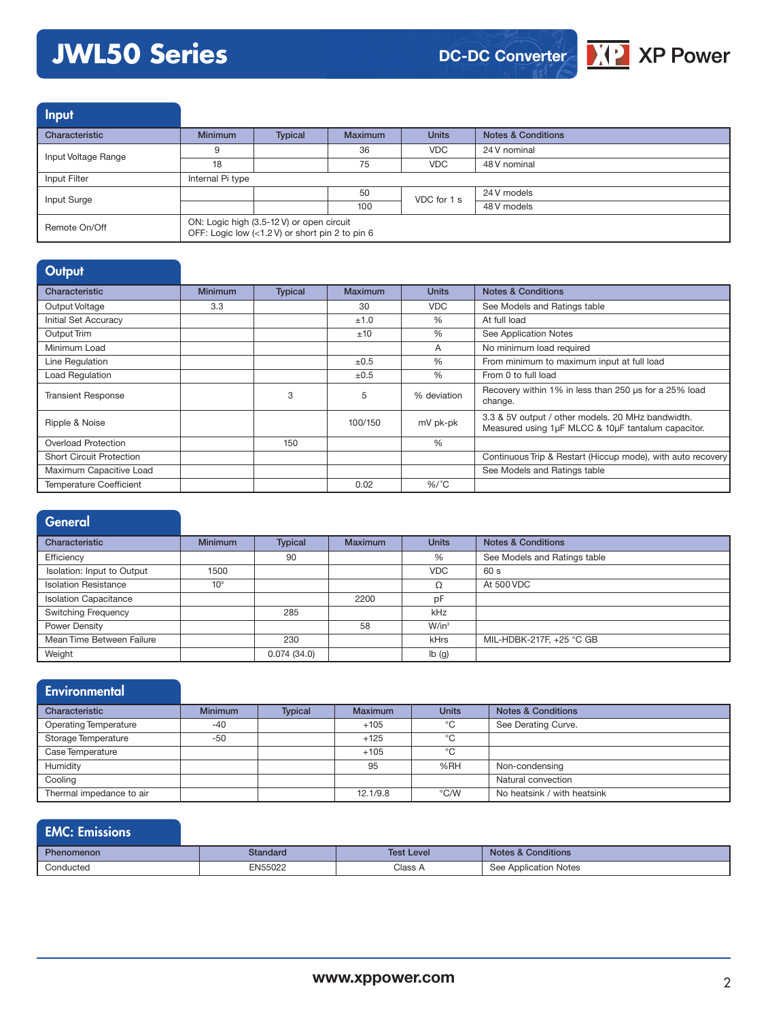# **JWL50 Series**





| <b>Input</b>        |                                      |                                                                                              |                |              |                               |
|---------------------|--------------------------------------|----------------------------------------------------------------------------------------------|----------------|--------------|-------------------------------|
| Characteristic      | <b>Minimum</b>                       | <b>Typical</b>                                                                               | <b>Maximum</b> | <b>Units</b> | <b>Notes &amp; Conditions</b> |
| Input Voltage Range | 9                                    |                                                                                              | 36             | VDC.         | 24 V nominal                  |
|                     | VDC.<br>75<br>18<br>Internal Pi type |                                                                                              | 48 V nominal   |              |                               |
| Input Filter        |                                      |                                                                                              |                |              |                               |
| Input Surge         |                                      |                                                                                              | 50             | VDC for 1 s  | 24 V models                   |
|                     |                                      |                                                                                              | 100            |              | 48 V models                   |
| Remote On/Off       |                                      | ON: Logic high (3.5-12 V) or open circuit<br>OFF: Logic low (<1.2 V) or short pin 2 to pin 6 |                |              |                               |

## **Output**

| Characteristic                  | <b>Minimum</b> | <b>Typical</b> | Maximum   | <b>Units</b> | <b>Notes &amp; Conditions</b>                                                                           |
|---------------------------------|----------------|----------------|-----------|--------------|---------------------------------------------------------------------------------------------------------|
| Output Voltage                  | 3.3            |                | 30        | <b>VDC</b>   | See Models and Ratings table                                                                            |
| Initial Set Accuracy            |                |                | ±1.0      | $\%$         | At full load                                                                                            |
| Output Trim                     |                |                | ±10       | $\%$         | See Application Notes                                                                                   |
| Minimum Load                    |                |                |           | A            | No minimum load required                                                                                |
| Line Regulation                 |                |                | $\pm 0.5$ | $\%$         | From minimum to maximum input at full load                                                              |
| Load Regulation                 |                |                | $\pm 0.5$ | $\%$         | From 0 to full load                                                                                     |
| <b>Transient Response</b>       |                | 3              | 5         | % deviation  | Recovery within 1% in less than 250 us for a 25% load<br>change.                                        |
| Ripple & Noise                  |                |                | 100/150   | mV pk-pk     | 3.3 & 5V output / other models. 20 MHz bandwidth.<br>Measured using 1µF MLCC & 10µF tantalum capacitor. |
| Overload Protection             |                | 150            |           | %            |                                                                                                         |
| <b>Short Circuit Protection</b> |                |                |           |              | Continuous Trip & Restart (Hiccup mode), with auto recovery                                             |
| Maximum Capacitive Load         |                |                |           |              | See Models and Ratings table                                                                            |
| <b>Temperature Coefficient</b>  |                |                | 0.02      | $%$ /°C      |                                                                                                         |

| General                      |                 |                |                |                   |                               |
|------------------------------|-----------------|----------------|----------------|-------------------|-------------------------------|
| Characteristic               | <b>Minimum</b>  | <b>Typical</b> | <b>Maximum</b> | <b>Units</b>      | <b>Notes &amp; Conditions</b> |
| Efficiency                   |                 | 90             |                | %                 | See Models and Ratings table  |
| Isolation: Input to Output   | 1500            |                |                | <b>VDC</b>        | 60 s                          |
| <b>Isolation Resistance</b>  | 10 <sup>9</sup> |                |                | Ω                 | At 500 VDC                    |
| <b>Isolation Capacitance</b> |                 |                | 2200           | pF                |                               |
| <b>Switching Frequency</b>   |                 | 285            |                | kHz               |                               |
| Power Density                |                 |                | 58             | W/in <sup>3</sup> |                               |
| Mean Time Between Failure    |                 | 230            |                | kHrs              | MIL-HDBK-217F, +25 °C GB      |
| Weight                       |                 | 0.074(34.0)    |                | lb(g)             |                               |

| <b>Environmental</b>         |                |                |                |               |                               |
|------------------------------|----------------|----------------|----------------|---------------|-------------------------------|
| Characteristic               | <b>Minimum</b> | <b>Typical</b> | <b>Maximum</b> | <b>Units</b>  | <b>Notes &amp; Conditions</b> |
| <b>Operating Temperature</b> | $-40$          |                | $+105$         | °C            | See Derating Curve.           |
| Storage Temperature          | $-50$          |                | $+125$         | °C            |                               |
| Case Temperature             |                |                | $+105$         | °C            |                               |
| Humidity                     |                |                | 95             | %RH           | Non-condensing                |
| Cooling                      |                |                |                |               | Natural convection            |
| Thermal impedance to air     |                |                | 12.1/9.8       | $\degree$ C/W | No heatsink / with heatsink   |

# EMC: Emissions

| <b>Phenomenon</b> | Standard | Test l<br>Level | <b>Conditions</b><br>Notes &    |
|-------------------|----------|-----------------|---------------------------------|
| Conducted         | EN55022  | Class A         | <b>Application Notes</b><br>See |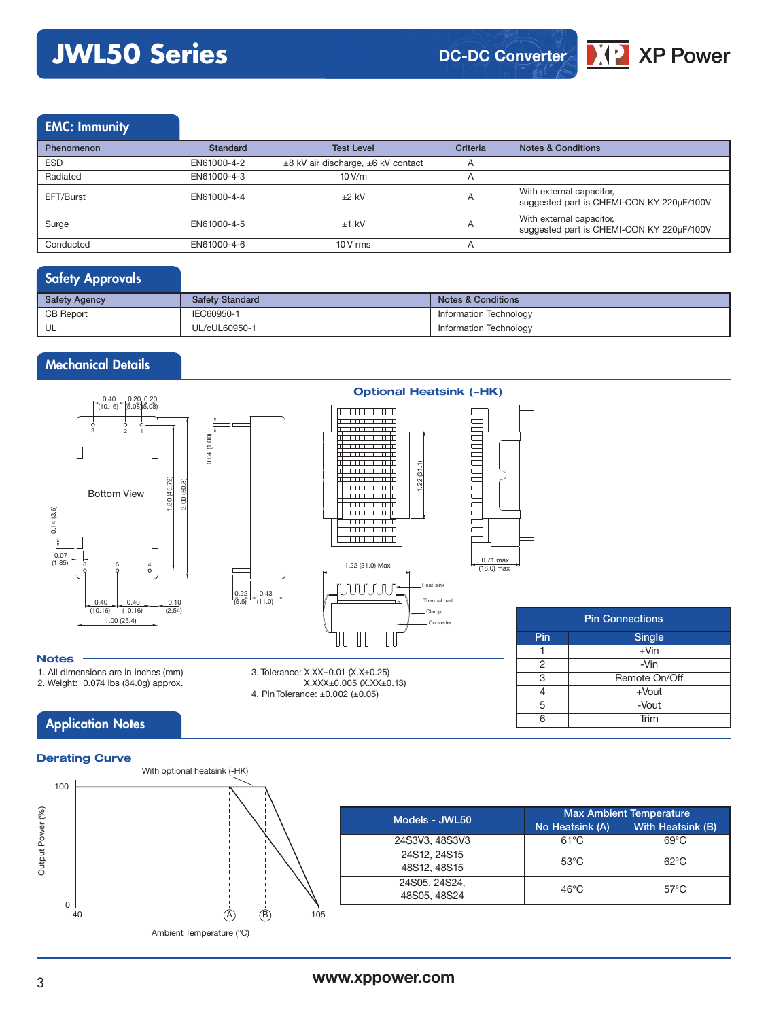# **JWL50 Series**



### EMC: Immunity

| <b>Phenomenon</b> | <b>Standard</b> | <b>Test Level</b>                  | Criteria       | <b>Notes &amp; Conditions</b>                                         |
|-------------------|-----------------|------------------------------------|----------------|-----------------------------------------------------------------------|
| <b>ESD</b>        | EN61000-4-2     | ±8 kV air discharge, ±6 kV contact | A              |                                                                       |
| Radiated          | EN61000-4-3     | 10 V/m                             | $\overline{A}$ |                                                                       |
| EFT/Burst         | EN61000-4-4     | $±2$ kV                            | $\overline{A}$ | With external capacitor,<br>suggested part is CHEMI-CON KY 220µF/100V |
| Surge             | EN61000-4-5     | $±1$ kV                            | A              | With external capacitor,<br>suggested part is CHEMI-CON KY 220µF/100V |
| Conducted         | EN61000-4-6     | $10V$ rms                          | A              |                                                                       |

## Safety Approvals

| <b>Safety Agency</b> | <b>Safety Standard</b> | <b>Notes &amp; Conditions</b> |
|----------------------|------------------------|-------------------------------|
| <b>CB Report</b>     | IEC60950-1             | Information Technology        |
| UL                   | UL/cUL60950-1          | Information Technology        |

### Mechanical Details



0.43  $(11.0)$ 

3. Tolerance: X.XX±0.01 (X.X±0.25)

4. Pin Tolerance: ±0.002 (±0.05)

X.XXX±0.005 (X.XX±0.13)



| <b>Pin Connections</b> |               |  |  |  |  |  |
|------------------------|---------------|--|--|--|--|--|
| Pin                    | Single        |  |  |  |  |  |
|                        | $+V$ in       |  |  |  |  |  |
| 2                      | -Vin          |  |  |  |  |  |
| 3                      | Remote On/Off |  |  |  |  |  |
|                        | $+$ Vout      |  |  |  |  |  |
| 5                      | -Vout         |  |  |  |  |  |
| ี่ค                    | Trim          |  |  |  |  |  |

#### **Notes**

1. All dimensions are in inches (mm)

2. Weight: 0.074 lbs (34.0g) approx.

# **Application Notes**



# **Optional Heatsink (-HK)**

0.71 max (18.0) max

#### **www.xppower.com**